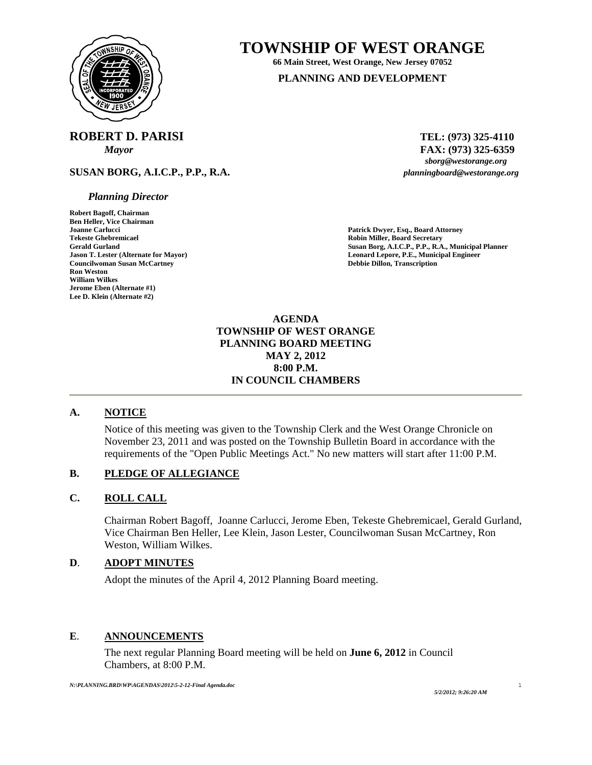

# **TOWNSHIP OF WEST ORANGE**

**66 Main Street, West Orange, New Jersey 07052 PLANNING AND DEVELOPMENT**

# **ROBERT D. PARISI** TEL: (973) 325-4110

**SUSAN BORG, A.I.C.P., P.P., R.A.** *planningboard@westorange.org* 

### *Planning Director*

**Robert Bagoff, Chairman Ben Heller, Vice Chairman Joanne Carlucci Patrick Dwyer, Esq., Board Attorney Councilwoman Susan McCartney**<br>Ron Weston **William Wilkes Jerome Eben (Alternate #1) Lee D. Klein (Alternate #2)** 

*Mayor* **FAX:** (973) 325-6359<br>*sborg@westorange.org* 

**Robin Miller, Board Secretary** Gerald Gurland **Gurland Susan Borg, A.I.C.P., P.P., R.A., Municipal Planner**<br> **Gerald Gurland Lepore, P.E., Municipal Engineer**<br> **Leonard Lepore, P.E., Municipal Engineer Leonard Lepore, P.E., Municipal Engineer Debbie Dillon, Transcription** 

> **AGENDA TOWNSHIP OF WEST ORANGE PLANNING BOARD MEETING MAY 2, 2012 8:00 P.M. IN COUNCIL CHAMBERS**

# **A. NOTICE**

Notice of this meeting was given to the Township Clerk and the West Orange Chronicle on November 23, 2011 and was posted on the Township Bulletin Board in accordance with the requirements of the "Open Public Meetings Act." No new matters will start after 11:00 P.M.

### **B. PLEDGE OF ALLEGIANCE**

### **C. ROLL CALL**

Chairman Robert Bagoff, Joanne Carlucci, Jerome Eben, Tekeste Ghebremicael, Gerald Gurland, Vice Chairman Ben Heller, Lee Klein, Jason Lester, Councilwoman Susan McCartney, Ron Weston, William Wilkes.

# **D**. **ADOPT MINUTES**

Adopt the minutes of the April 4, 2012 Planning Board meeting.

### **E**. **ANNOUNCEMENTS**

 The next regular Planning Board meeting will be held on **June 6, 2012** in Council Chambers, at 8:00 P.M.